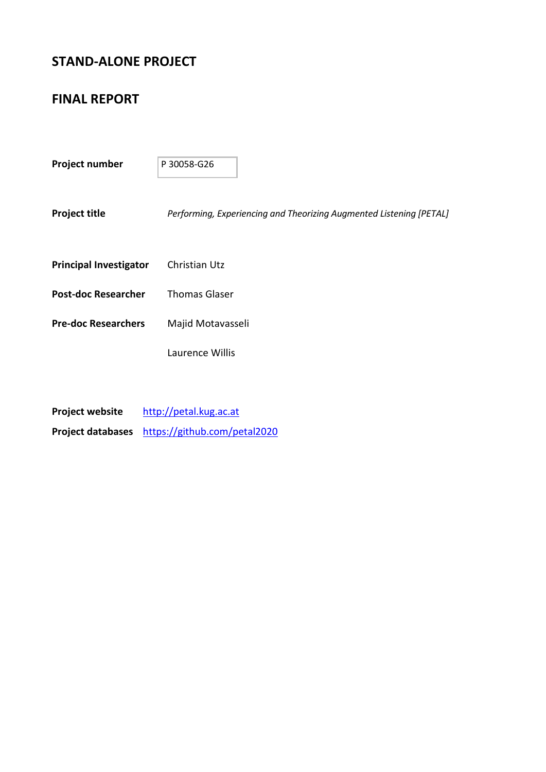## **STAND-ALONE PROJECT**

### **FINAL REPORT**

| <b>Project number</b>         | P 30058-G26                                                         |
|-------------------------------|---------------------------------------------------------------------|
| <b>Project title</b>          | Performing, Experiencing and Theorizing Augmented Listening [PETAL] |
| <b>Principal Investigator</b> | Christian Utz                                                       |
| <b>Post-doc Researcher</b>    | <b>Thomas Glaser</b>                                                |
| <b>Pre-doc Researchers</b>    | Majid Motavasseli                                                   |
|                               | Laurence Willis                                                     |
|                               |                                                                     |

Project website [http://petal.kug.ac.at](http://petal.kug.ac.at/) **Project databases** <https://github.com/petal2020>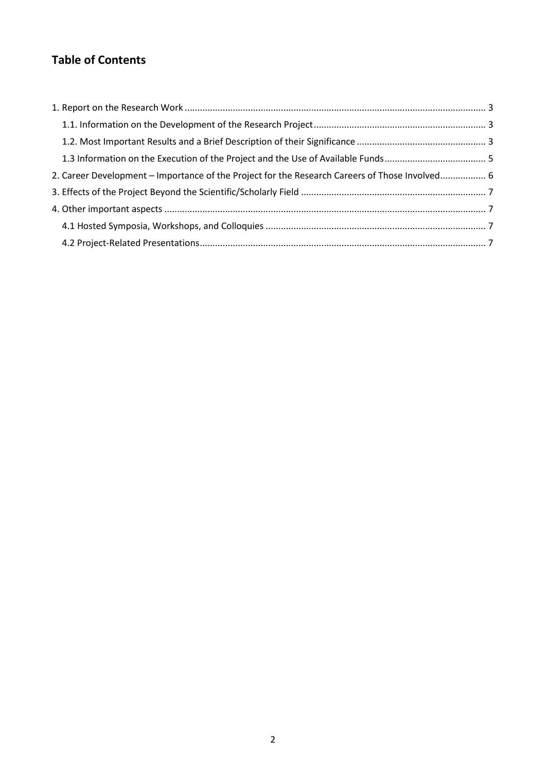### **Table of Contents**

| 2. Career Development – Importance of the Project for the Research Careers of Those Involved 6 |  |
|------------------------------------------------------------------------------------------------|--|
|                                                                                                |  |
|                                                                                                |  |
|                                                                                                |  |
|                                                                                                |  |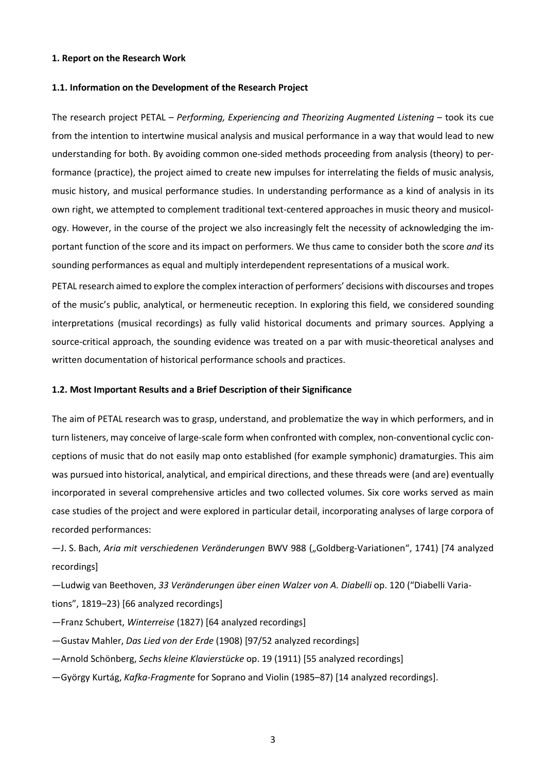#### <span id="page-2-0"></span>**1. Report on the Research Work**

#### <span id="page-2-1"></span>**1.1. Information on the Development of the Research Project**

The research project PETAL – *Performing, Experiencing and Theorizing Augmented Listening* – took its cue from the intention to intertwine musical analysis and musical performance in a way that would lead to new understanding for both. By avoiding common one-sided methods proceeding from analysis (theory) to performance (practice), the project aimed to create new impulses for interrelating the fields of music analysis, music history, and musical performance studies. In understanding performance as a kind of analysis in its own right, we attempted to complement traditional text-centered approaches in music theory and musicology. However, in the course of the project we also increasingly felt the necessity of acknowledging the important function of the score and its impact on performers. We thus came to consider both the score *and* its sounding performances as equal and multiply interdependent representations of a musical work.

PETAL research aimed to explore the complex interaction of performers' decisions with discourses and tropes of the music's public, analytical, or hermeneutic reception. In exploring this field, we considered sounding interpretations (musical recordings) as fully valid historical documents and primary sources. Applying a source-critical approach, the sounding evidence was treated on a par with music-theoretical analyses and written documentation of historical performance schools and practices.

#### <span id="page-2-2"></span>**1.2. Most Important Results and a Brief Description of their Significance**

The aim of PETAL research was to grasp, understand, and problematize the way in which performers, and in turn listeners, may conceive of large-scale form when confronted with complex, non-conventional cyclic conceptions of music that do not easily map onto established (for example symphonic) dramaturgies. This aim was pursued into historical, analytical, and empirical directions, and these threads were (and are) eventually incorporated in several comprehensive articles and two collected volumes. Six core works served as main case studies of the project and were explored in particular detail, incorporating analyses of large corpora of recorded performances:

—J. S. Bach, *Aria mit verschiedenen Veränderungen* BWV 988 ("Goldberg-Variationen", 1741) [74 analyzed recordings]

—Ludwig van Beethoven, *33 Veränderungen über einen Walzer von A. Diabelli* op. 120 ("Diabelli Variations", 1819–23) [66 analyzed recordings]

—Franz Schubert, *Winterreise* (1827) [64 analyzed recordings]

—Gustav Mahler, *Das Lied von der Erde* (1908) [97/52 analyzed recordings]

- —Arnold Schönberg, *Sechs kleine Klavierstücke* op. 19 (1911) [55 analyzed recordings]
- —György Kurtág, *Kafka-Fragmente* for Soprano and Violin (1985–87) [14 analyzed recordings].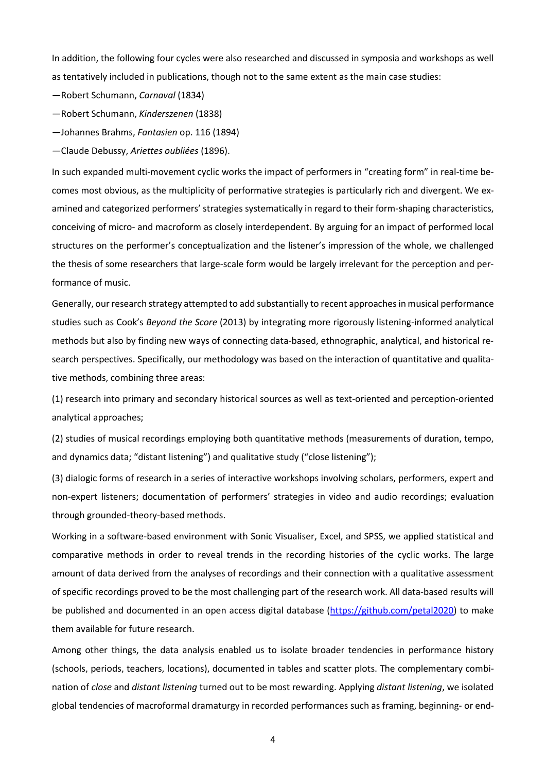In addition, the following four cycles were also researched and discussed in symposia and workshops as well as tentatively included in publications, though not to the same extent as the main case studies:

—Robert Schumann, *Carnaval* (1834)

—Robert Schumann, *Kinderszenen* (1838)

—Johannes Brahms, *Fantasien* op. 116 (1894)

—Claude Debussy, *Ariettes oubliées* (1896).

In such expanded multi-movement cyclic works the impact of performers in "creating form" in real-time becomes most obvious, as the multiplicity of performative strategies is particularly rich and divergent. We examined and categorized performers' strategies systematically in regard to their form-shaping characteristics, conceiving of micro- and macroform as closely interdependent. By arguing for an impact of performed local structures on the performer's conceptualization and the listener's impression of the whole, we challenged the thesis of some researchers that large-scale form would be largely irrelevant for the perception and performance of music.

Generally, our research strategy attempted to add substantially to recent approaches in musical performance studies such as Cook's *Beyond the Score* (2013) by integrating more rigorously listening-informed analytical methods but also by finding new ways of connecting data-based, ethnographic, analytical, and historical research perspectives. Specifically, our methodology was based on the interaction of quantitative and qualitative methods, combining three areas:

(1) research into primary and secondary historical sources as well as text-oriented and perception-oriented analytical approaches;

(2) studies of musical recordings employing both quantitative methods (measurements of duration, tempo, and dynamics data; "distant listening") and qualitative study ("close listening");

(3) dialogic forms of research in a series of interactive workshops involving scholars, performers, expert and non-expert listeners; documentation of performers' strategies in video and audio recordings; evaluation through grounded-theory-based methods.

Working in a software-based environment with Sonic Visualiser, Excel, and SPSS, we applied statistical and comparative methods in order to reveal trends in the recording histories of the cyclic works. The large amount of data derived from the analyses of recordings and their connection with a qualitative assessment of specific recordings proved to be the most challenging part of the research work. All data-based results will be published and documented in an open access digital database [\(https://github.com/petal2020\)](https://github.com/petal2020) to make them available for future research.

Among other things, the data analysis enabled us to isolate broader tendencies in performance history (schools, periods, teachers, locations), documented in tables and scatter plots. The complementary combination of *close* and *distant listening* turned out to be most rewarding. Applying *distant listening*, we isolated global tendencies of macroformal dramaturgy in recorded performances such as framing, beginning- or end-

4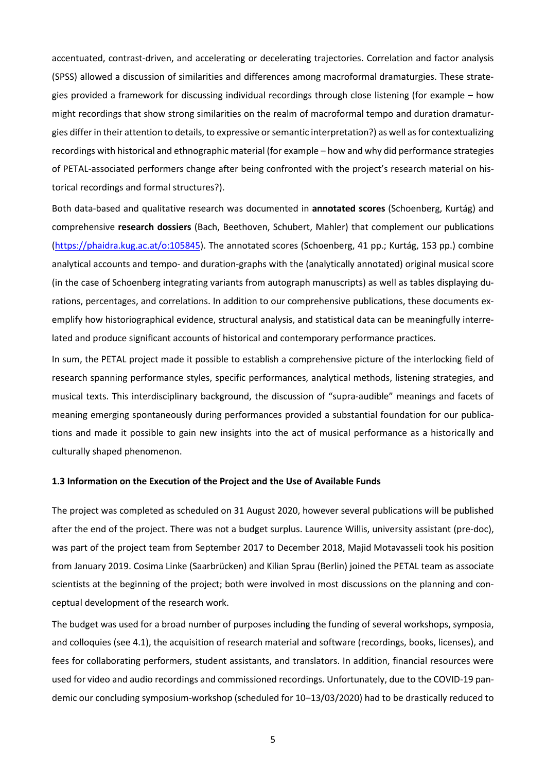accentuated, contrast-driven, and accelerating or decelerating trajectories. Correlation and factor analysis (SPSS) allowed a discussion of similarities and differences among macroformal dramaturgies. These strategies provided a framework for discussing individual recordings through close listening (for example – how might recordings that show strong similarities on the realm of macroformal tempo and duration dramaturgies differ in their attention to details, to expressive or semantic interpretation?) as well as for contextualizing recordings with historical and ethnographic material (for example – how and why did performance strategies of PETAL-associated performers change after being confronted with the project's research material on historical recordings and formal structures?).

Both data-based and qualitative research was documented in **annotated scores** (Schoenberg, Kurtág) and comprehensive **research dossiers** (Bach, Beethoven, Schubert, Mahler) that complement our publications [\(https://phaidra.kug.ac.at/o:105845\)](https://phaidra.kug.ac.at/o:105845). The annotated scores (Schoenberg, 41 pp.; Kurtág, 153 pp.) combine analytical accounts and tempo- and duration-graphs with the (analytically annotated) original musical score (in the case of Schoenberg integrating variants from autograph manuscripts) as well as tables displaying durations, percentages, and correlations. In addition to our comprehensive publications, these documents exemplify how historiographical evidence, structural analysis, and statistical data can be meaningfully interrelated and produce significant accounts of historical and contemporary performance practices.

In sum, the PETAL project made it possible to establish a comprehensive picture of the interlocking field of research spanning performance styles, specific performances, analytical methods, listening strategies, and musical texts. This interdisciplinary background, the discussion of "supra-audible" meanings and facets of meaning emerging spontaneously during performances provided a substantial foundation for our publications and made it possible to gain new insights into the act of musical performance as a historically and culturally shaped phenomenon.

#### <span id="page-4-0"></span>**1.3 Information on the Execution of the Project and the Use of Available Funds**

The project was completed as scheduled on 31 August 2020, however several publications will be published after the end of the project. There was not a budget surplus. Laurence Willis, university assistant (pre-doc), was part of the project team from September 2017 to December 2018, Majid Motavasseli took his position from January 2019. Cosima Linke (Saarbrücken) and Kilian Sprau (Berlin) joined the PETAL team as associate scientists at the beginning of the project; both were involved in most discussions on the planning and conceptual development of the research work.

The budget was used for a broad number of purposes including the funding of several workshops, symposia, and colloquies (see 4.1), the acquisition of research material and software (recordings, books, licenses), and fees for collaborating performers, student assistants, and translators. In addition, financial resources were used for video and audio recordings and commissioned recordings. Unfortunately, due to the COVID-19 pandemic our concluding symposium-workshop (scheduled for 10–13/03/2020) had to be drastically reduced to

5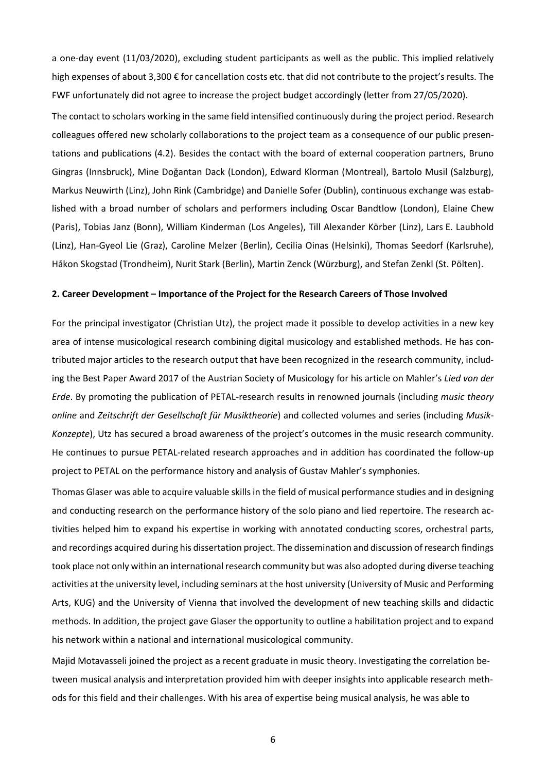a one-day event (11/03/2020), excluding student participants as well as the public. This implied relatively high expenses of about 3,300 € for cancellation costs etc. that did not contribute to the project's results. The FWF unfortunately did not agree to increase the project budget accordingly (letter from 27/05/2020).

The contact to scholars working in the same field intensified continuously during the project period. Research colleagues offered new scholarly collaborations to the project team as a consequence of our public presentations and publications (4.2). Besides the contact with the board of external cooperation partners, Bruno Gingras (Innsbruck), Mine Doğantan Dack (London), Edward Klorman (Montreal), Bartolo Musil (Salzburg), Markus Neuwirth (Linz), John Rink (Cambridge) and Danielle Sofer (Dublin), continuous exchange was established with a broad number of scholars and performers including Oscar Bandtlow (London), Elaine Chew (Paris), Tobias Janz (Bonn), William Kinderman (Los Angeles), Till Alexander Körber (Linz), Lars E. Laubhold (Linz), Han-Gyeol Lie (Graz), Caroline Melzer (Berlin), Cecilia Oinas (Helsinki), Thomas Seedorf (Karlsruhe), Håkon Skogstad (Trondheim), Nurit Stark (Berlin), Martin Zenck (Würzburg), and Stefan Zenkl (St. Pölten).

#### <span id="page-5-0"></span>**2. Career Development – Importance of the Project for the Research Careers of Those Involved**

For the principal investigator (Christian Utz), the project made it possible to develop activities in a new key area of intense musicological research combining digital musicology and established methods. He has contributed major articles to the research output that have been recognized in the research community, including the Best Paper Award 2017 of the Austrian Society of Musicology for his article on Mahler's *Lied von der Erde*. By promoting the publication of PETAL-research results in renowned journals (including *music theory online* and *Zeitschrift der Gesellschaft für Musiktheorie*) and collected volumes and series (including *Musik-Konzepte*), Utz has secured a broad awareness of the project's outcomes in the music research community. He continues to pursue PETAL-related research approaches and in addition has coordinated the follow-up project to PETAL on the performance history and analysis of Gustav Mahler's symphonies.

Thomas Glaser was able to acquire valuable skills in the field of musical performance studies and in designing and conducting research on the performance history of the solo piano and lied repertoire. The research activities helped him to expand his expertise in working with annotated conducting scores, orchestral parts, and recordings acquired during his dissertation project. The dissemination and discussion of research findings took place not only within an international research community but was also adopted during diverse teaching activities at the university level, including seminars at the host university (University of Music and Performing Arts, KUG) and the University of Vienna that involved the development of new teaching skills and didactic methods. In addition, the project gave Glaser the opportunity to outline a habilitation project and to expand his network within a national and international musicological community.

Majid Motavasseli joined the project as a recent graduate in music theory. Investigating the correlation between musical analysis and interpretation provided him with deeper insights into applicable research methods for this field and their challenges. With his area of expertise being musical analysis, he was able to

6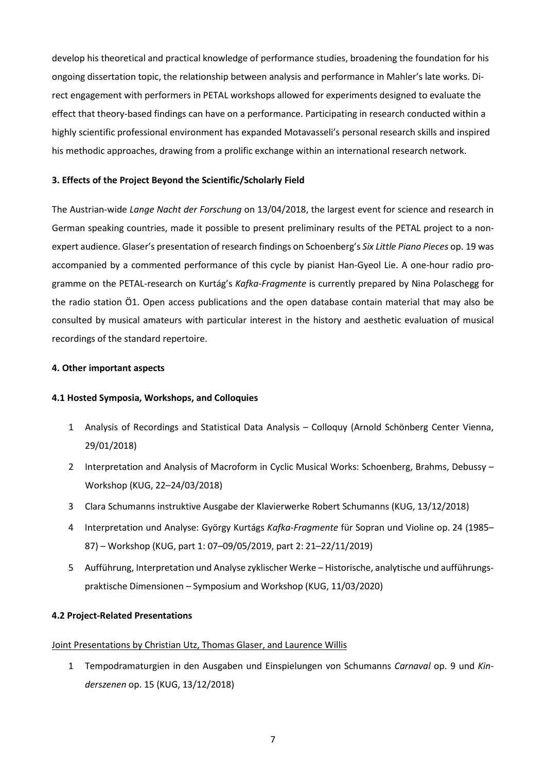develop his theoretical and practical knowledge of performance studies, broadening the foundation for his ongoing dissertation topic, the relationship between analysis and performance in Mahler's late works. Direct engagement with performers in PETAL workshops allowed for experiments designed to evaluate the effect that theory-based findings can have on a performance. Participating in research conducted within a highly scientific professional environment has expanded Motavasseli's personal research skills and inspired his methodic approaches, drawing from a prolific exchange within an international research network.

#### <span id="page-6-0"></span>**3. Effects of the Project Beyond the Scientific/Scholarly Field**

The Austrian-wide *Lange Nacht der Forschung* on 13/04/2018, the largest event for science and research in German speaking countries, made it possible to present preliminary results of the PETAL project to a nonexpert audience. Glaser's presentation of research findings on Schoenberg's *Six Little Piano Pieces* op. 19 was accompanied by a commented performance of this cycle by pianist Han-Gyeol Lie. A one-hour radio programme on the PETAL-research on Kurtág's *Kafka-Fragmente* is currently prepared by Nina Polaschegg for the radio station Ö1. Open access publications and the open database contain material that may also be consulted by musical amateurs with particular interest in the history and aesthetic evaluation of musical recordings of the standard repertoire.

#### <span id="page-6-1"></span>**4. Other important aspects**

#### <span id="page-6-2"></span>**4.1 Hosted Symposia, Workshops, and Colloquies**

- 1 Analysis of Recordings and Statistical Data Analysis Colloquy (Arnold Schönberg Center Vienna, 29/01/2018)
- 2 Interpretation and Analysis of Macroform in Cyclic Musical Works: Schoenberg, Brahms, Debussy Workshop (KUG, 22–24/03/2018)
- 3 Clara Schumanns instruktive Ausgabe der Klavierwerke Robert Schumanns (KUG, 13/12/2018)
- 4 Interpretation und Analyse: György Kurtágs *Kafka-Fragmente* für Sopran und Violine op. 24 (1985– 87) – Workshop (KUG, part 1: 07–09/05/2019, part 2: 21–22/11/2019)
- 5 Aufführung, Interpretation und Analyse zyklischer Werke Historische, analytische und aufführungspraktische Dimensionen – Symposium and Workshop (KUG, 11/03/2020)

#### <span id="page-6-3"></span>**4.2 Project-Related Presentations**

#### Joint Presentations by Christian Utz, Thomas Glaser, and Laurence Willis

1 Tempodramaturgien in den Ausgaben und Einspielungen von Schumanns *Carnaval* op. 9 und *Kinderszenen* op. 15 (KUG, 13/12/2018)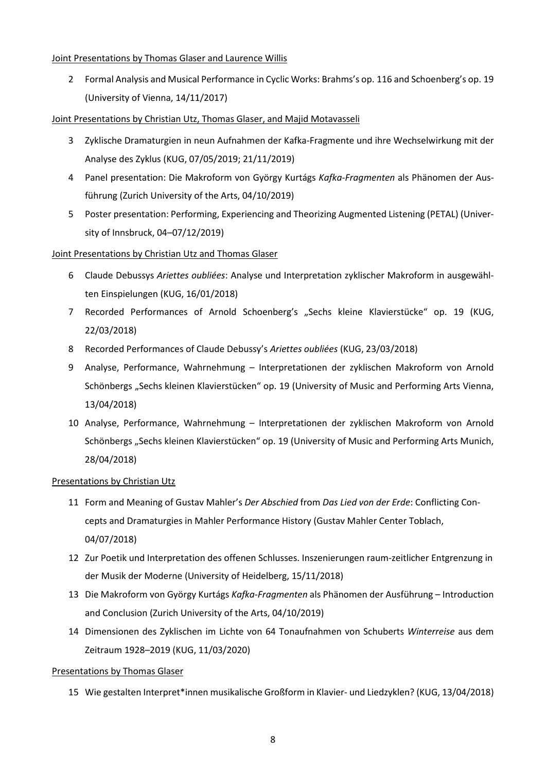#### Joint Presentations by Thomas Glaser and Laurence Willis

2 Formal Analysis and Musical Performance in Cyclic Works: Brahms's op. 116 and Schoenberg's op. 19 (University of Vienna, 14/11/2017)

#### Joint Presentations by Christian Utz, Thomas Glaser, and Majid Motavasseli

- 3 Zyklische Dramaturgien in neun Aufnahmen der Kafka-Fragmente und ihre Wechselwirkung mit der Analyse des Zyklus (KUG, 07/05/2019; 21/11/2019)
- 4 Panel presentation: Die Makroform von György Kurtágs *Kafka-Fragmenten* als Phänomen der Ausführung (Zurich University of the Arts, 04/10/2019)
- 5 Poster presentation: Performing, Experiencing and Theorizing Augmented Listening (PETAL) (University of Innsbruck, 04–07/12/2019)

#### Joint Presentations by Christian Utz and Thomas Glaser

- 6 Claude Debussys *Ariettes oubliées*: Analyse und Interpretation zyklischer Makroform in ausgewählten Einspielungen (KUG, 16/01/2018)
- 7 Recorded Performances of Arnold Schoenberg's "Sechs kleine Klavierstücke" op. 19 (KUG, 22/03/2018)
- 8 Recorded Performances of Claude Debussy's *Ariettes oubliées* (KUG, 23/03/2018)
- 9 Analyse, Performance, Wahrnehmung Interpretationen der zyklischen Makroform von Arnold Schönbergs "Sechs kleinen Klavierstücken" op. 19 (University of Music and Performing Arts Vienna, 13/04/2018)
- 10 Analyse, Performance, Wahrnehmung Interpretationen der zyklischen Makroform von Arnold Schönbergs "Sechs kleinen Klavierstücken" op. 19 (University of Music and Performing Arts Munich, 28/04/2018)

#### Presentations by Christian Utz

- 11 Form and Meaning of Gustav Mahler's *Der Abschied* from *Das Lied von der Erde*: Conflicting Concepts and Dramaturgies in Mahler Performance History (Gustav Mahler Center Toblach, 04/07/2018)
- 12 Zur Poetik und Interpretation des offenen Schlusses. Inszenierungen raum-zeitlicher Entgrenzung in der Musik der Moderne (University of Heidelberg, 15/11/2018)
- 13 Die Makroform von György Kurtágs *Kafka-Fragmenten* als Phänomen der Ausführung Introduction and Conclusion (Zurich University of the Arts, 04/10/2019)
- 14 Dimensionen des Zyklischen im Lichte von 64 Tonaufnahmen von Schuberts *Winterreise* aus dem Zeitraum 1928–2019 (KUG, 11/03/2020)

#### Presentations by Thomas Glaser

15 Wie gestalten Interpret\*innen musikalische Großform in Klavier- und Liedzyklen? (KUG, 13/04/2018)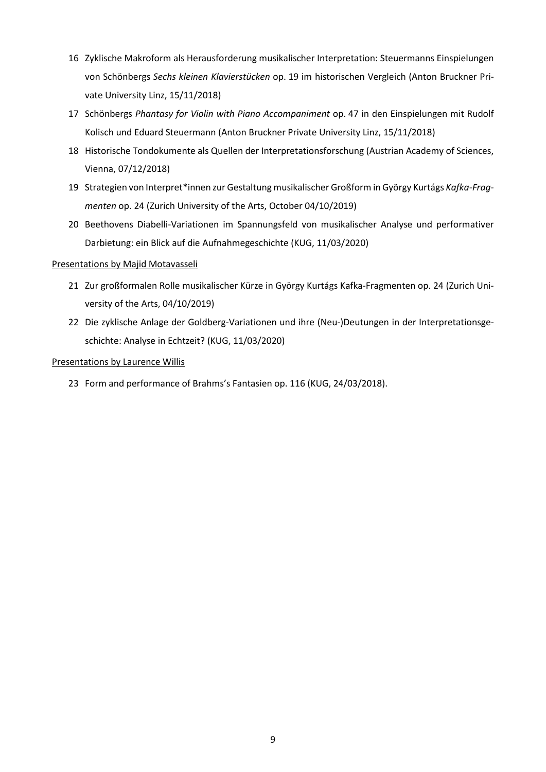- 16 Zyklische Makroform als Herausforderung musikalischer Interpretation: Steuermanns Einspielungen von Schönbergs *Sechs kleinen Klavierstücken* op. 19 im historischen Vergleich (Anton Bruckner Private University Linz, 15/11/2018)
- 17 Schönbergs *Phantasy for Violin with Piano Accompaniment* op. 47 in den Einspielungen mit Rudolf Kolisch und Eduard Steuermann (Anton Bruckner Private University Linz, 15/11/2018)
- 18 Historische Tondokumente als Quellen der Interpretationsforschung (Austrian Academy of Sciences, Vienna, 07/12/2018)
- 19 Strategien von Interpret\*innen zur Gestaltung musikalischer Großform in György Kurtágs *Kafka-Fragmenten* op. 24 (Zurich University of the Arts, October 04/10/2019)
- 20 Beethovens Diabelli-Variationen im Spannungsfeld von musikalischer Analyse und performativer Darbietung: ein Blick auf die Aufnahmegeschichte (KUG, 11/03/2020)

#### Presentations by Majid Motavasseli

- 21 Zur großformalen Rolle musikalischer Kürze in György Kurtágs Kafka-Fragmenten op. 24 (Zurich University of the Arts, 04/10/2019)
- 22 Die zyklische Anlage der Goldberg-Variationen und ihre (Neu-)Deutungen in der Interpretationsgeschichte: Analyse in Echtzeit? (KUG, 11/03/2020)

#### Presentations by Laurence Willis

23 Form and performance of Brahms's Fantasien op. 116 (KUG, 24/03/2018).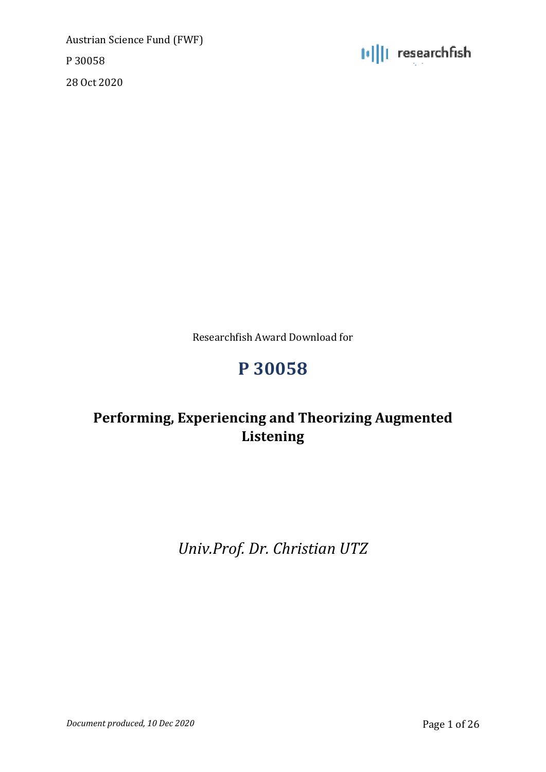

Researchfish Award Download for

# **P 30058**

# **Performing, Experiencing and Theorizing Augmented Listening**

*Univ.Prof. Dr. Christian UTZ*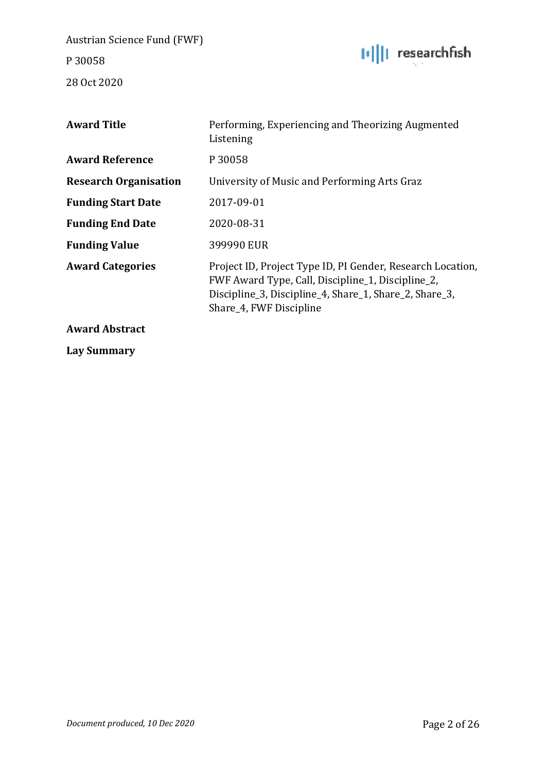

| <b>Award Title</b>           | Performing, Experiencing and Theorizing Augmented<br>Listening                                                                                                                                       |
|------------------------------|------------------------------------------------------------------------------------------------------------------------------------------------------------------------------------------------------|
| <b>Award Reference</b>       | P 30058                                                                                                                                                                                              |
| <b>Research Organisation</b> | University of Music and Performing Arts Graz                                                                                                                                                         |
| <b>Funding Start Date</b>    | 2017-09-01                                                                                                                                                                                           |
| <b>Funding End Date</b>      | 2020-08-31                                                                                                                                                                                           |
| <b>Funding Value</b>         | 399990 EUR                                                                                                                                                                                           |
| <b>Award Categories</b>      | Project ID, Project Type ID, PI Gender, Research Location,<br>FWF Award Type, Call, Discipline_1, Discipline_2,<br>Discipline_3, Discipline_4, Share_1, Share_2, Share_3,<br>Share_4, FWF Discipline |
| <b>Award Abstract</b>        |                                                                                                                                                                                                      |
| <b>Lay Summary</b>           |                                                                                                                                                                                                      |

*Document produced,* 10 *Dec* 2020 *Page 2* of 26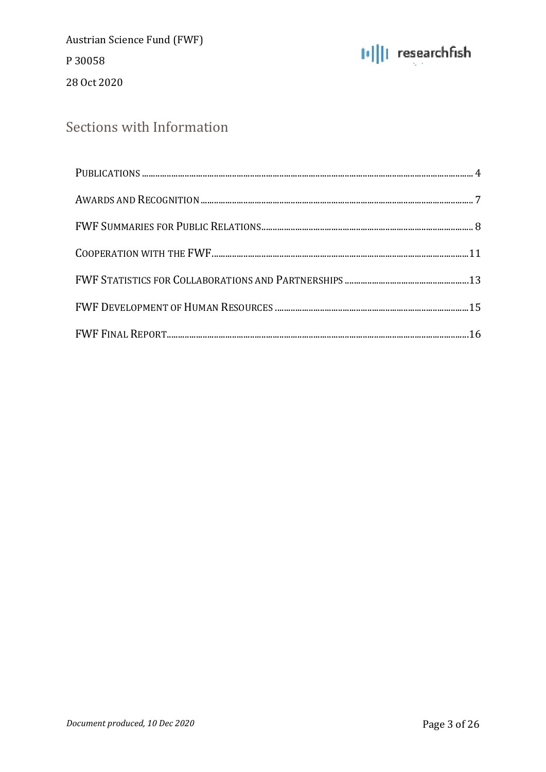

# Sections with Information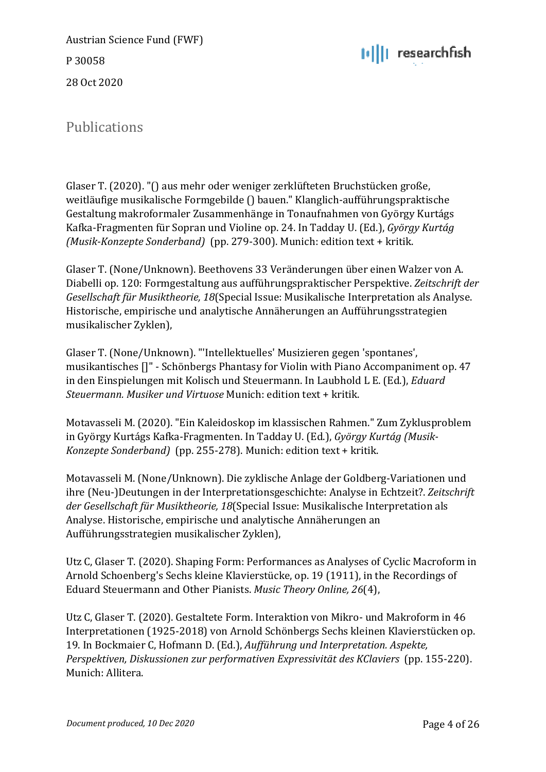

### Publications

Glaser T. (2020). "() aus mehr oder weniger zerklüfteten Bruchstücken große, weitläufige musikalische Formgebilde () bauen." Klanglich-aufführungspraktische Gestaltung makroformaler Zusammenhänge in Tonaufnahmen von György Kurtágs Kafka-Fragmenten für Sopran und Violine op. 24. In Tadday U. (Ed.), *György Kurtág (Musik‐Konzepte Sonderband)* (pp. 279-300). Munich: edition text + kritik.

Glaser T. (None/Unknown). Beethovens 33 Veränderungen über einen Walzer von A. Diabelli op. 120: Formgestaltung aus aufführungspraktischer Perspektive. *Zeitschrift der Gesellschaft für Musiktheorie, 18*(Special Issue: Musikalische Interpretation als Analyse. Historische, empirische und analytische Annäherungen an Aufführungsstrategien musikalischer Zyklen),

Glaser T. (None/Unknown). "'Intellektuelles' Musizieren gegen 'spontanes', musikantisches []" - Schönbergs Phantasy for Violin with Piano Accompaniment op. 47 in den Einspielungen mit Kolisch und Steuermann. In Laubhold L E. (Ed.), *Eduard Steuermann. Musiker und Virtuose* Munich: edition text + kritik.

Motavasseli M. (2020). "Ein Kaleidoskop im klassischen Rahmen." Zum Zyklusproblem in György Kurtágs Kafka-Fragmenten. In Tadday U. (Ed.), *György Kurtág (Musik‐ Konzepte Sonderband)* (pp. 255-278). Munich: edition text + kritik.

Motavasseli M. (None/Unknown). Die zyklische Anlage der Goldberg-Variationen und ihre (Neu-)Deutungen in der Interpretationsgeschichte: Analyse in Echtzeit?. *Zeitschrift der Gesellschaft für Musiktheorie, 18*(Special Issue: Musikalische Interpretation als Analyse. Historische, empirische und analytische Annäherungen an Aufführungsstrategien musikalischer Zyklen),

Utz C, Glaser T. (2020). Shaping Form: Performances as Analyses of Cyclic Macroform in Arnold Schoenberg's Sechs kleine Klavierstücke, op. 19 (1911), in the Recordings of Eduard Steuermann and Other Pianists. *Music Theory Online, 26*(4),

Utz C, Glaser T. (2020). Gestaltete Form. Interaktion von Mikro- und Makroform in 46 Interpretationen (1925-2018) von Arnold Schönbergs Sechs kleinen Klavierstücken op. 19. In Bockmaier C, Hofmann D. (Ed.), *Aufführung und Interpretation. Aspekte, Perspektiven, Diskussionen zur performativen Expressivität des KClaviers* (pp. 155-220). Munich: Allitera.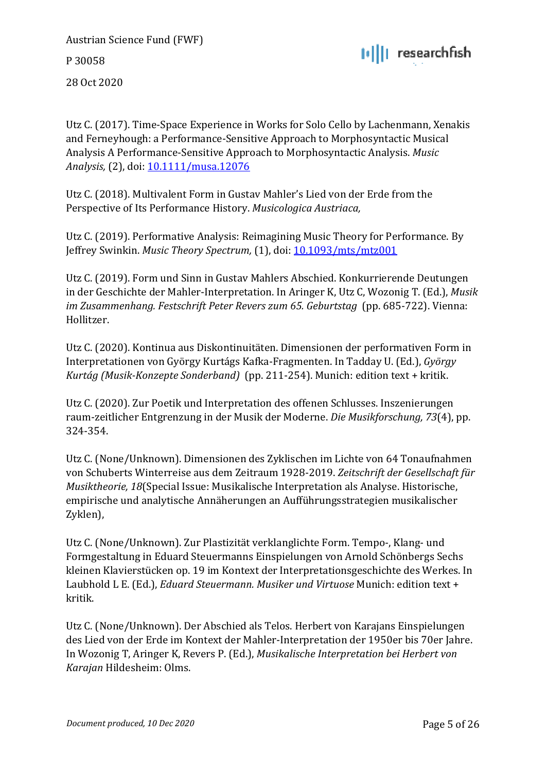

Utz C. (2017). Time-Space Experience in Works for Solo Cello by Lachenmann, Xenakis and Ferneyhough: a Performance-Sensitive Approach to Morphosyntactic Musical Analysis A Performance-Sensitive Approach to Morphosyntactic Analysis. *Music Analysis,* (2), doi: 10.1111/musa.12076

Utz C. (2018). Multivalent Form in Gustav Mahler's Lied von der Erde from the Perspective of Its Performance History. *Musicologica Austriaca,*

Utz C. (2019). Performative Analysis: Reimagining Music Theory for Performance. By Jeffrey Swinkin. *Music Theory Spectrum,* (1), doi: 10.1093/mts/mtz001

Utz C. (2019). Form und Sinn in Gustav Mahlers Abschied. Konkurrierende Deutungen in der Geschichte der Mahler-Interpretation. In Aringer K, Utz C, Wozonig T. (Ed.), *Musik im Zusammenhang. Festschrift Peter Revers zum 65. Geburtstag* (pp. 685-722). Vienna: Hollitzer.

Utz C. (2020). Kontinua aus Diskontinuitäten. Dimensionen der performativen Form in Interpretationen von György Kurtágs Kafka-Fragmenten. In Tadday U. (Ed.), *György Kurtág (Musik‐Konzepte Sonderband)* (pp. 211-254). Munich: edition text + kritik.

Utz C. (2020). Zur Poetik und Interpretation des offenen Schlusses. Inszenierungen raum-zeitlicher Entgrenzung in der Musik der Moderne. *Die Musikforschung, 73*(4), pp. 324-354.

Utz C. (None/Unknown). Dimensionen des Zyklischen im Lichte von 64 Tonaufnahmen von Schuberts Winterreise aus dem Zeitraum 1928-2019. *Zeitschrift der Gesellschaft für Musiktheorie, 18*(Special Issue: Musikalische Interpretation als Analyse. Historische, empirische und analytische Annäherungen an Aufführungsstrategien musikalischer Zyklen),

Utz C. (None/Unknown). Zur Plastizität verklanglichte Form. Tempo-, Klang- und Formgestaltung in Eduard Steuermanns Einspielungen von Arnold Schönbergs Sechs kleinen Klavierstücken op. 19 im Kontext der Interpretationsgeschichte des Werkes. In Laubhold L E. (Ed.), *Eduard Steuermann. Musiker und Virtuose* Munich: edition text + kritik.

Utz C. (None/Unknown). Der Abschied als Telos. Herbert von Karajans Einspielungen des Lied von der Erde im Kontext der Mahler-Interpretation der 1950er bis 70er Jahre. In Wozonig T, Aringer K, Revers P. (Ed.), *Musikalische Interpretation bei Herbert von Karajan* Hildesheim: Olms.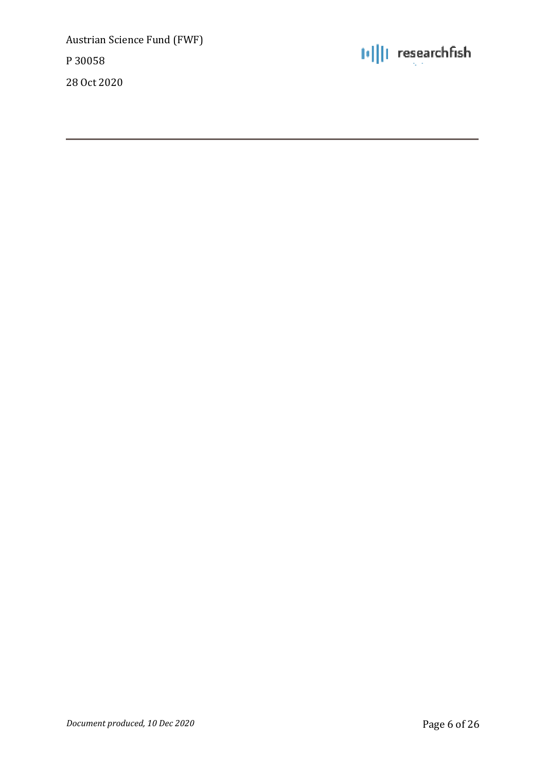